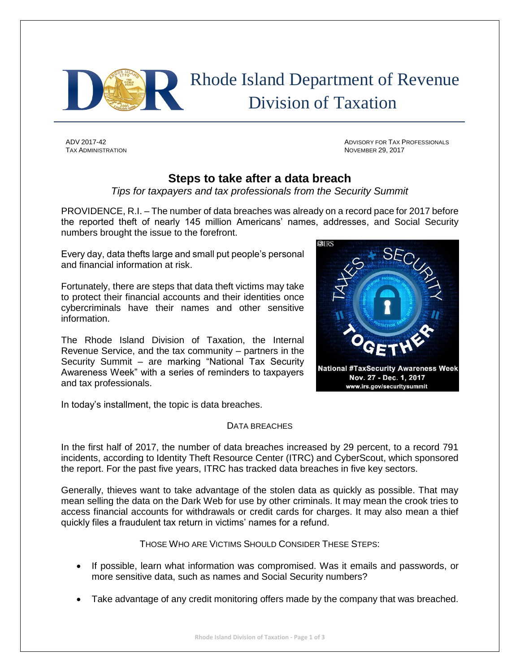

## Rhode Island Department of Revenue Division of Taxation

TAX ADMINISTRATION NOVEMBER 29, 2017

ADV 2017-42 ADVISORY FOR TAX PROFESSIONALS

## **Steps to take after a data breach**

*Tips for taxpayers and tax professionals from the Security Summit*

PROVIDENCE, R.I. – The number of data breaches was already on a record pace for 2017 before the reported theft of nearly 145 million Americans' names, addresses, and Social Security numbers brought the issue to the forefront.

Every day, data thefts large and small put people's personal and financial information at risk.

Fortunately, there are steps that data theft victims may take to protect their financial accounts and their identities once cybercriminals have their names and other sensitive information.

The Rhode Island Division of Taxation, the Internal Revenue Service, and the tax community – partners in the Security Summit – are marking "National Tax Security Awareness Week" with a series of reminders to taxpayers and tax professionals.

**National #TaxSecurity Awareness Week** Nov. 27 - Dec. 1, 2017 www.irs.gov/securitysummit

In today's installment, the topic is data breaches.

## DATA BREACHES

In the first half of 2017, the number of data breaches increased by 29 percent, to a record 791 incidents, according to Identity Theft Resource Center (ITRC) and CyberScout, which sponsored the report. For the past five years, ITRC has tracked data breaches in five key sectors.

Generally, thieves want to take advantage of the stolen data as quickly as possible. That may mean selling the data on the Dark Web for use by other criminals. It may mean the crook tries to access financial accounts for withdrawals or credit cards for charges. It may also mean a thief quickly files a fraudulent tax return in victims' names for a refund.

THOSE WHO ARE VICTIMS SHOULD CONSIDER THESE STEPS:

- If possible, learn what information was compromised. Was it emails and passwords, or more sensitive data, such as names and Social Security numbers?
- Take advantage of any credit monitoring offers made by the company that was breached.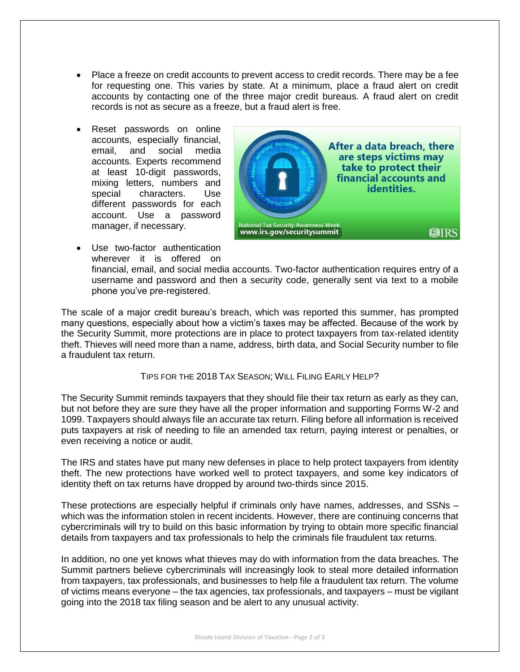- Place a freeze on credit accounts to prevent access to credit records. There may be a fee for requesting one. This varies by state. At a minimum, place a fraud alert on credit accounts by contacting one of the three major credit bureaus. A fraud alert on credit records is not as secure as a freeze, but a fraud alert is free.
- Reset passwords on online accounts, especially financial, email, and social media accounts. Experts recommend at least 10-digit passwords, mixing letters, numbers and special characters. Use different passwords for each account. Use a password manager, if necessary.



 Use two-factor authentication wherever it is offered on

financial, email, and social media accounts. Two-factor authentication requires entry of a username and password and then a security code, generally sent via text to a mobile phone you've pre-registered.

The scale of a major credit bureau's breach, which was reported this summer, has prompted many questions, especially about how a victim's taxes may be affected. Because of the work by the Security Summit, more protections are in place to protect taxpayers from tax-related identity theft. Thieves will need more than a name, address, birth data, and Social Security number to file a fraudulent tax return.

TIPS FOR THE 2018 TAX SEASON; WILL FILING EARLY HELP?

The Security Summit reminds taxpayers that they should file their tax return as early as they can, but not before they are sure they have all the proper information and supporting Forms W-2 and 1099. Taxpayers should always file an accurate tax return. Filing before all information is received puts taxpayers at risk of needing to file an amended tax return, paying interest or penalties, or even receiving a notice or audit.

The IRS and states have put many new defenses in place to help protect taxpayers from identity theft. The new protections have worked well to protect taxpayers, and some key indicators of identity theft on tax returns have dropped by around two-thirds since 2015.

These protections are especially helpful if criminals only have names, addresses, and SSNs – which was the information stolen in recent incidents. However, there are continuing concerns that cybercriminals will try to build on this basic information by trying to obtain more specific financial details from taxpayers and tax professionals to help the criminals file fraudulent tax returns.

In addition, no one yet knows what thieves may do with information from the data breaches. The Summit partners believe cybercriminals will increasingly look to steal more detailed information from taxpayers, tax professionals, and businesses to help file a fraudulent tax return. The volume of victims means everyone – the tax agencies, tax professionals, and taxpayers – must be vigilant going into the 2018 tax filing season and be alert to any unusual activity.